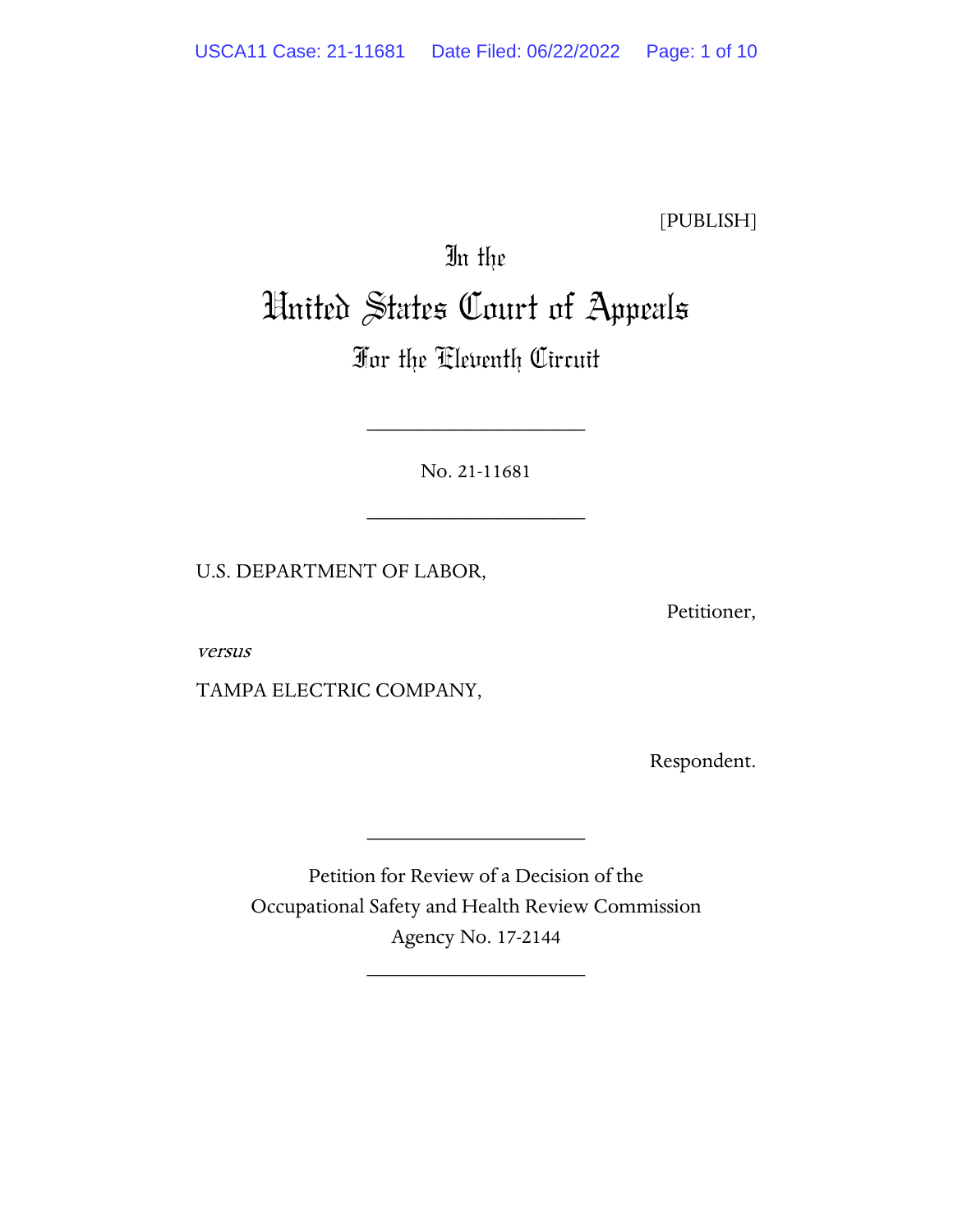[PUBLISH]

# In the United States Court of Appeals

## For the Eleventh Circuit

No. 21-11681

\_\_\_\_\_\_\_\_\_\_\_\_\_\_\_\_\_\_\_\_

\_\_\_\_\_\_\_\_\_\_\_\_\_\_\_\_\_\_\_\_

U.S. DEPARTMENT OF LABOR,

Petitioner,

versus

TAMPA ELECTRIC COMPANY,

Respondent.

Petition for Review of a Decision of the Occupational Safety and Health Review Commission Agency No. 17-2144

\_\_\_\_\_\_\_\_\_\_\_\_\_\_\_\_\_\_\_\_

\_\_\_\_\_\_\_\_\_\_\_\_\_\_\_\_\_\_\_\_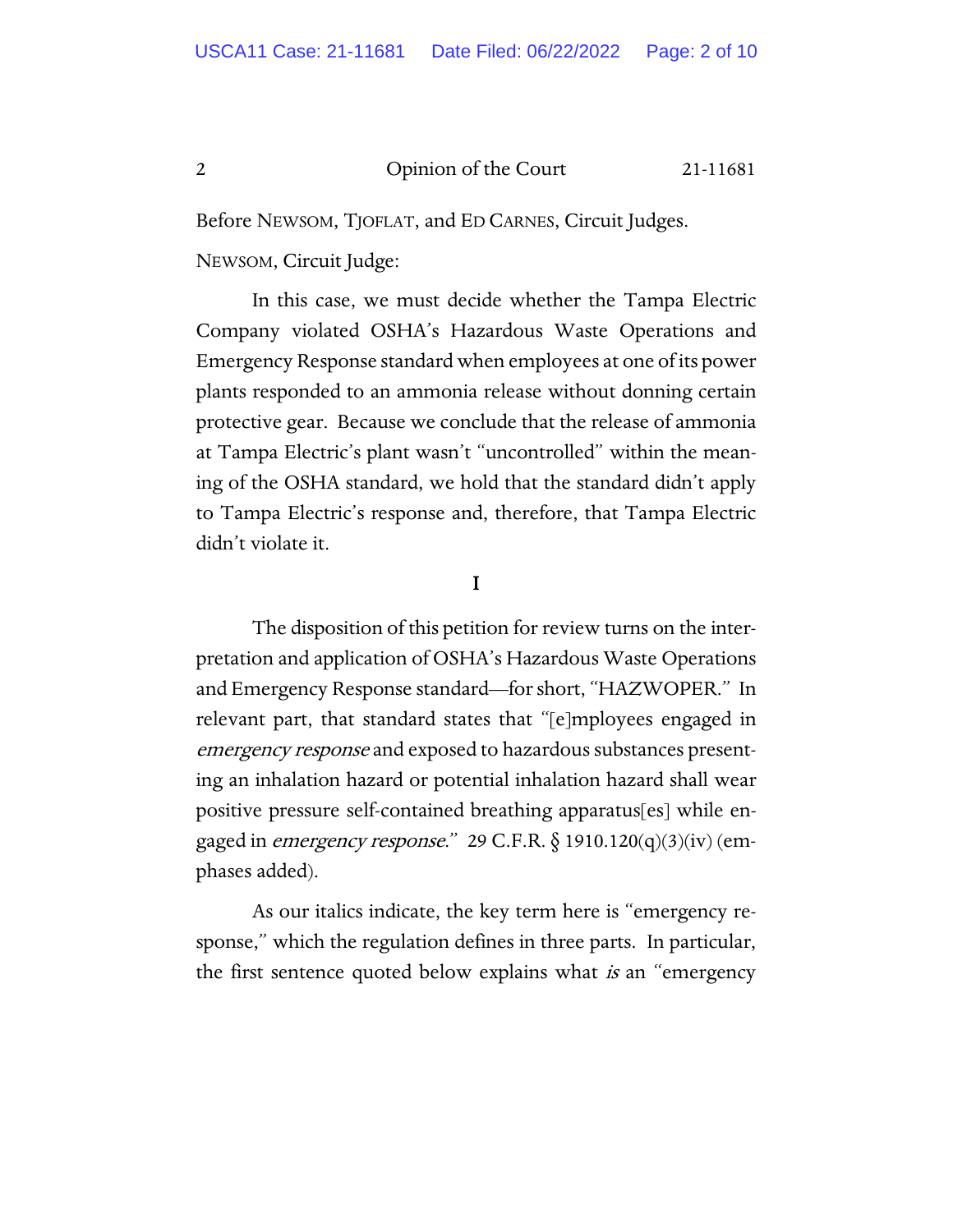Before NEWSOM, TJOFLAT, and ED CARNES, Circuit Judges.

NEWSOM, Circuit Judge:

In this case, we must decide whether the Tampa Electric Company violated OSHA's Hazardous Waste Operations and Emergency Response standard when employees at one of its power plants responded to an ammonia release without donning certain protective gear. Because we conclude that the release of ammonia at Tampa Electric's plant wasn't "uncontrolled" within the meaning of the OSHA standard, we hold that the standard didn't apply to Tampa Electric's response and, therefore, that Tampa Electric didn't violate it.

### I

The disposition of this petition for review turns on the interpretation and application of OSHA's Hazardous Waste Operations and Emergency Response standard—for short, "HAZWOPER." In relevant part, that standard states that "[e]mployees engaged in emergency response and exposed to hazardous substances presenting an inhalation hazard or potential inhalation hazard shall wear positive pressure self-contained breathing apparatus[es] while engaged in *emergency response*." 29 C.F.R.  $\S$  1910.120(q)(3)(iv) (emphases added).

As our italics indicate, the key term here is "emergency response," which the regulation defines in three parts. In particular, the first sentence quoted below explains what *is* an "emergency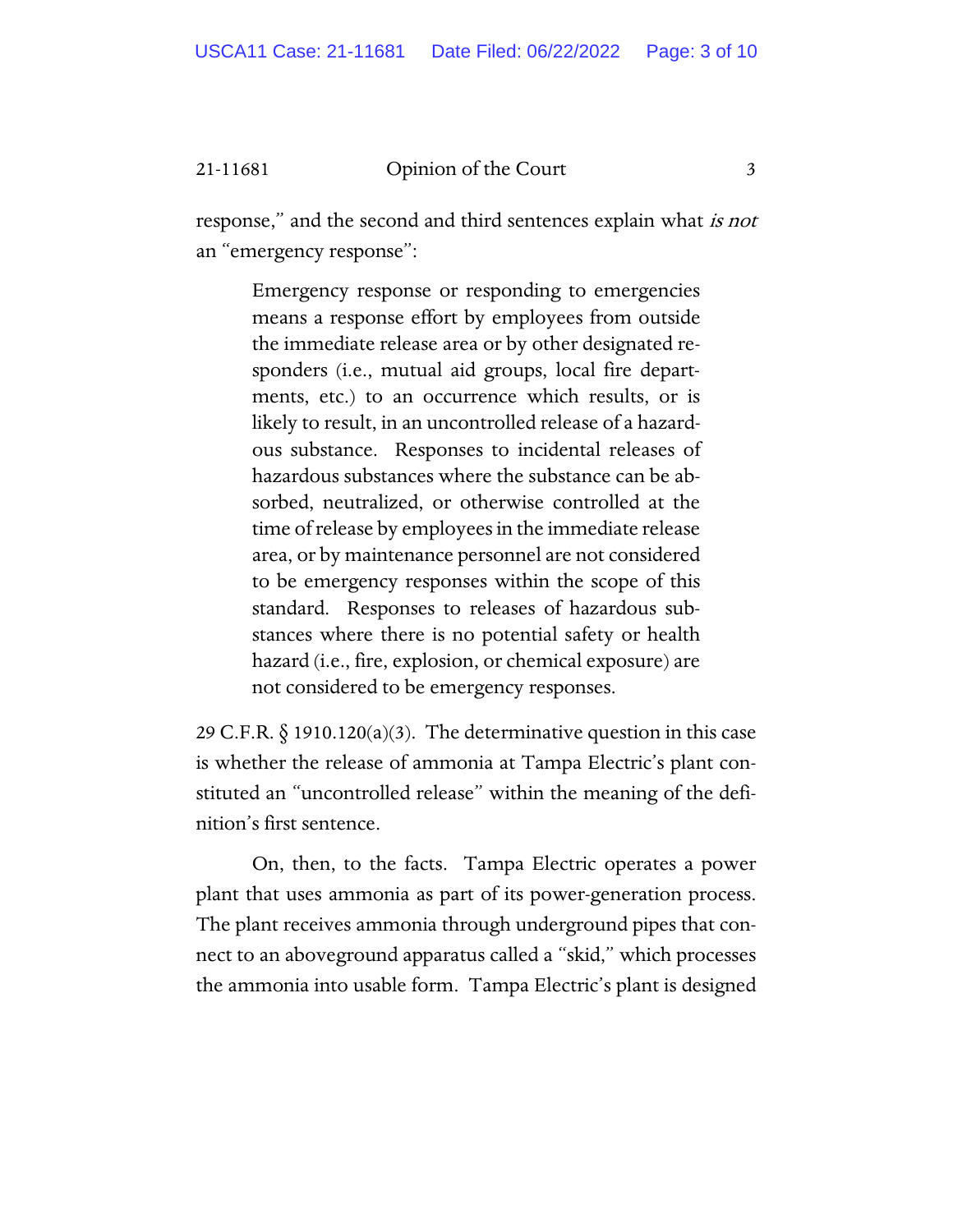response," and the second and third sentences explain what is not an "emergency response":

> Emergency response or responding to emergencies means a response effort by employees from outside the immediate release area or by other designated responders (i.e., mutual aid groups, local fire departments, etc.) to an occurrence which results, or is likely to result, in an uncontrolled release of a hazardous substance. Responses to incidental releases of hazardous substances where the substance can be absorbed, neutralized, or otherwise controlled at the time of release by employees in the immediate release area, or by maintenance personnel are not considered to be emergency responses within the scope of this standard. Responses to releases of hazardous substances where there is no potential safety or health hazard (i.e., fire, explosion, or chemical exposure) are not considered to be emergency responses.

29 C.F.R.  $\S$  1910.120(a)(3). The determinative question in this case is whether the release of ammonia at Tampa Electric's plant constituted an "uncontrolled release" within the meaning of the definition's first sentence.

On, then, to the facts. Tampa Electric operates a power plant that uses ammonia as part of its power-generation process. The plant receives ammonia through underground pipes that connect to an aboveground apparatus called a "skid," which processes the ammonia into usable form. Tampa Electric's plant is designed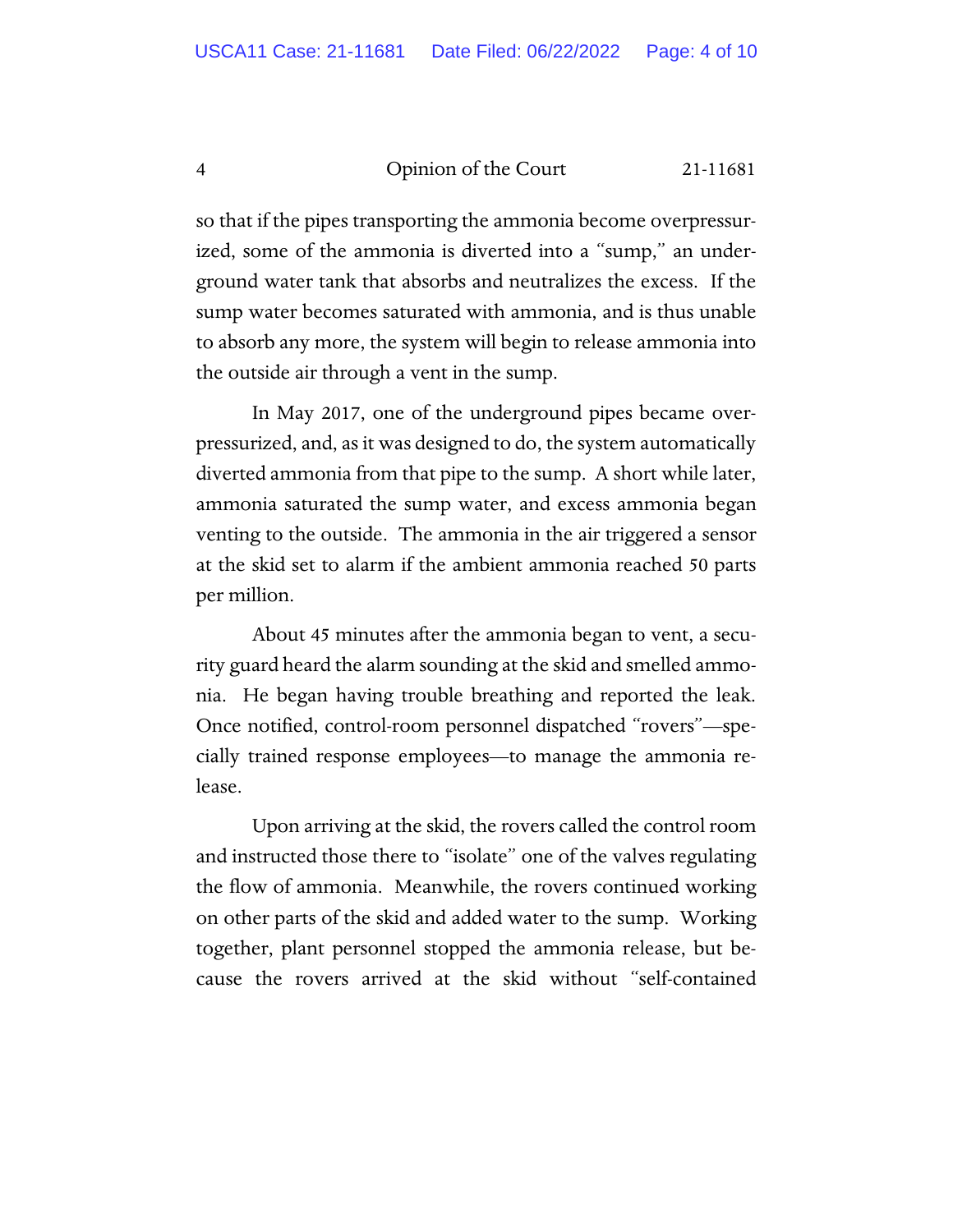so that if the pipes transporting the ammonia become overpressurized, some of the ammonia is diverted into a "sump," an underground water tank that absorbs and neutralizes the excess. If the sump water becomes saturated with ammonia, and is thus unable to absorb any more, the system will begin to release ammonia into the outside air through a vent in the sump.

In May 2017, one of the underground pipes became overpressurized, and, as it was designed to do, the system automatically diverted ammonia from that pipe to the sump. A short while later, ammonia saturated the sump water, and excess ammonia began venting to the outside. The ammonia in the air triggered a sensor at the skid set to alarm if the ambient ammonia reached 50 parts per million.

About 45 minutes after the ammonia began to vent, a security guard heard the alarm sounding at the skid and smelled ammonia. He began having trouble breathing and reported the leak. Once notified, control-room personnel dispatched "rovers"—specially trained response employees—to manage the ammonia release.

Upon arriving at the skid, the rovers called the control room and instructed those there to "isolate" one of the valves regulating the flow of ammonia. Meanwhile, the rovers continued working on other parts of the skid and added water to the sump. Working together, plant personnel stopped the ammonia release, but because the rovers arrived at the skid without "self-contained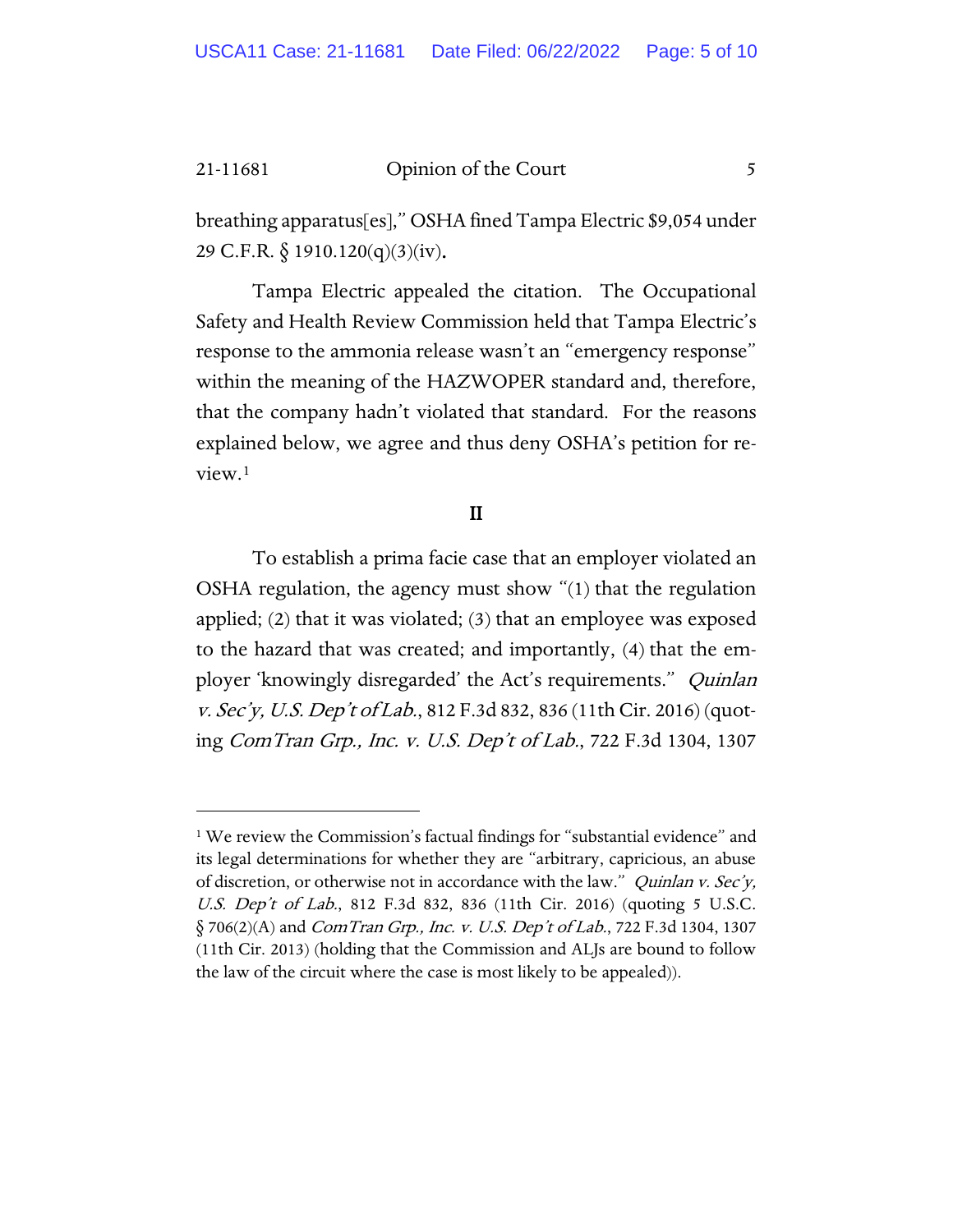breathing apparatus[es]," OSHA fined Tampa Electric \$9,054 under 29 C.F.R. § 1910.120(q)(3)(iv).

Tampa Electric appealed the citation. The Occupational Safety and Health Review Commission held that Tampa Electric's response to the ammonia release wasn't an "emergency response" within the meaning of the HAZWOPER standard and, therefore, that the company hadn't violated that standard. For the reasons explained below, we agree and thus deny OSHA's petition for review.[1](#page-4-0)

### II

To establish a prima facie case that an employer violated an OSHA regulation, the agency must show "(1) that the regulation applied; (2) that it was violated; (3) that an employee was exposed to the hazard that was created; and importantly, (4) that the employer 'knowingly disregarded' the Act's requirements." *Quinlan* v. Sec'y, U.S. Dep't of Lab., 812 F.3d 832, 836 (11th Cir. 2016) (quoting ComTran Grp., Inc. v. U.S. Dep't of Lab., 722 F.3d 1304, 1307

<span id="page-4-0"></span><sup>&</sup>lt;sup>1</sup> We review the Commission's factual findings for "substantial evidence" and its legal determinations for whether they are "arbitrary, capricious, an abuse of discretion, or otherwise not in accordance with the law." *Quinlan v. Sec'y*, U.S. Dep't of Lab., 812 F.3d 832, 836 (11th Cir. 2016) (quoting 5 U.S.C.  $\S$  706(2)(A) and *ComTran Grp., Inc. v. U.S. Dep't of Lab.*, 722 F.3d 1304, 1307 (11th Cir. 2013) (holding that the Commission and ALJs are bound to follow the law of the circuit where the case is most likely to be appealed)).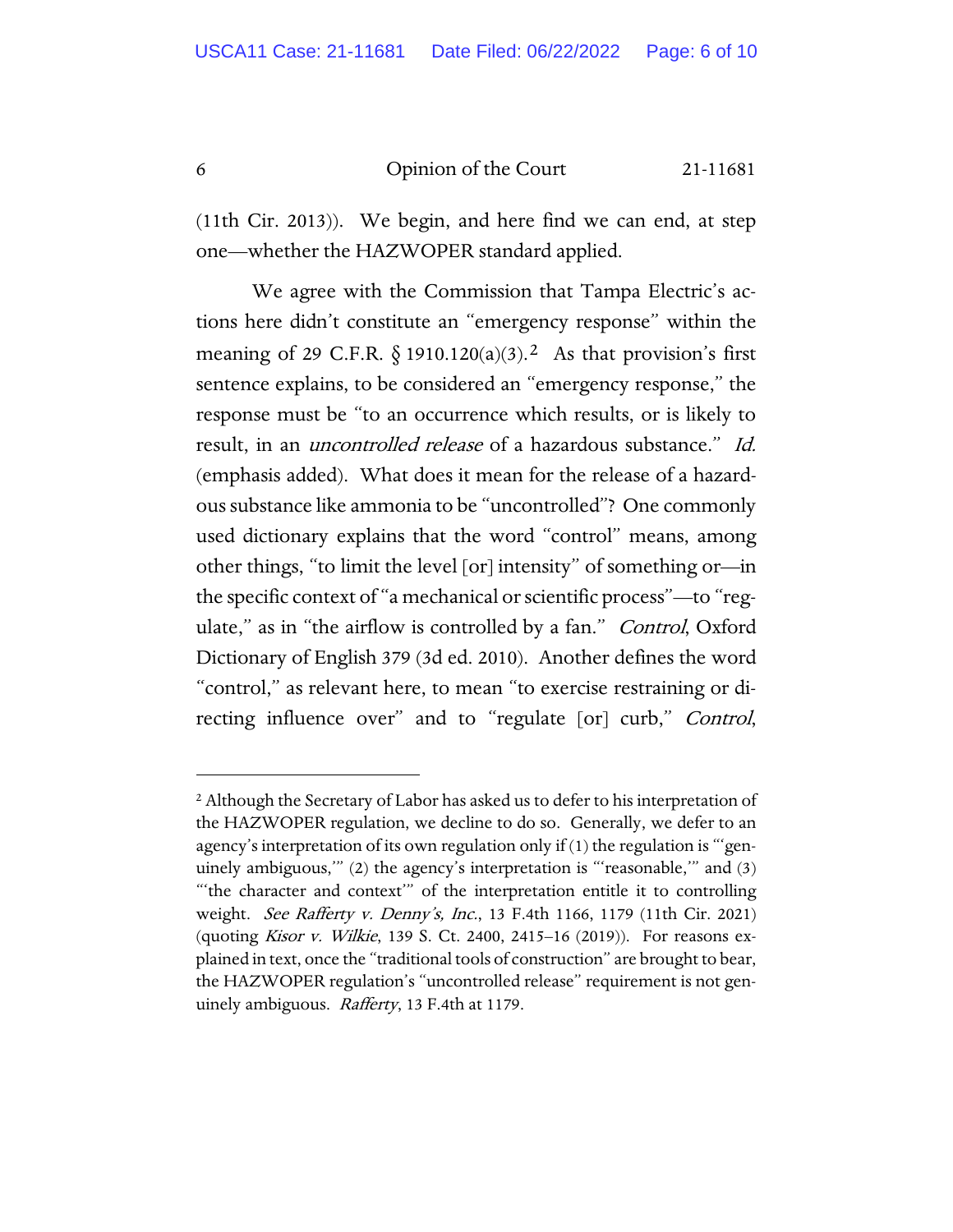(11th Cir. 2013)). We begin, and here find we can end, at step one—whether the HAZWOPER standard applied.

We agree with the Commission that Tampa Electric's actions here didn't constitute an "emergency response" within the meaning of 29 C.F.R.  $\S$  1910.120(a)(3).<sup>2</sup> As that provision's first sentence explains, to be considered an "emergency response," the response must be "to an occurrence which results, or is likely to result, in an *uncontrolled release* of a hazardous substance." Id. (emphasis added). What does it mean for the release of a hazardous substance like ammonia to be "uncontrolled"? One commonly used dictionary explains that the word "control" means, among other things, "to limit the level [or] intensity" of something or—in the specific context of "a mechanical or scientific process"—to "regulate," as in "the airflow is controlled by a fan." *Control*, Oxford Dictionary of English 379 (3d ed. 2010). Another defines the word "control," as relevant here, to mean "to exercise restraining or directing influence over" and to "regulate [or] curb," Control,

<span id="page-5-0"></span><sup>&</sup>lt;sup>2</sup> Although the Secretary of Labor has asked us to defer to his interpretation of the HAZWOPER regulation, we decline to do so. Generally, we defer to an agency's interpretation of its own regulation only if (1) the regulation is "'genuinely ambiguous,'" (2) the agency's interpretation is "'reasonable,'" and (3) "'the character and context'" of the interpretation entitle it to controlling weight. See Rafferty v. Denny's, Inc., 13 F.4th 1166, 1179 (11th Cir. 2021) (quoting *Kisor v. Wilkie*, 139 S. Ct. 2400, 2415–16 (2019)). For reasons explained in text, once the "traditional tools of construction" are brought to bear, the HAZWOPER regulation's "uncontrolled release" requirement is not genuinely ambiguous. *Rafferty*, 13 F.4th at 1179.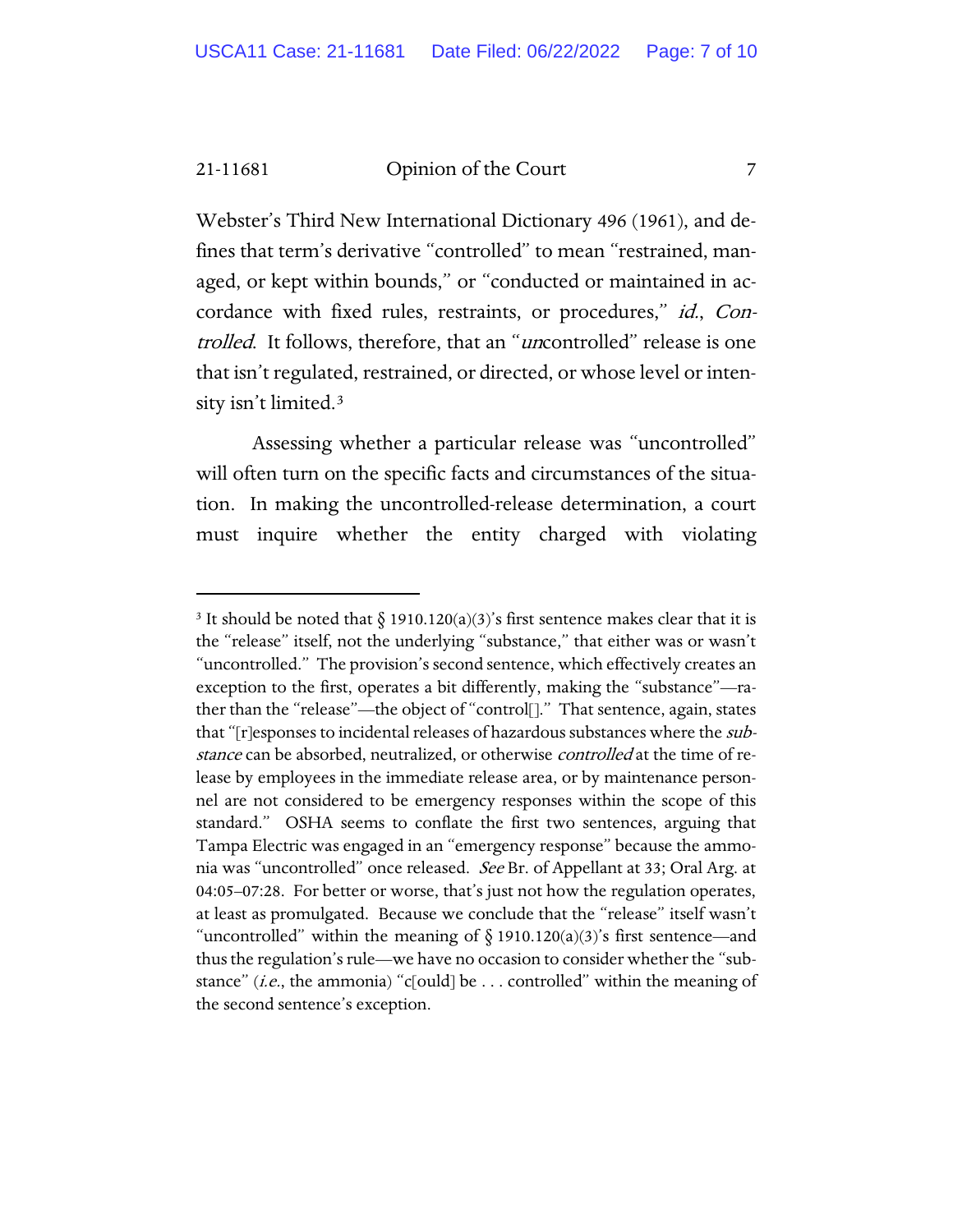Webster's Third New International Dictionary 496 (1961), and defines that term's derivative "controlled" to mean "restrained, managed, or kept within bounds," or "conducted or maintained in accordance with fixed rules, restraints, or procedures," id., Controlled. It follows, therefore, that an "uncontrolled" release is one that isn't regulated, restrained, or directed, or whose level or intensity isn't limited.[3](#page-6-0)

Assessing whether a particular release was "uncontrolled" will often turn on the specific facts and circumstances of the situation. In making the uncontrolled-release determination, a court must inquire whether the entity charged with violating

<span id="page-6-0"></span><sup>&</sup>lt;sup>3</sup> It should be noted that  $\S$  1910.120(a)(3)'s first sentence makes clear that it is the "release" itself, not the underlying "substance," that either was or wasn't "uncontrolled." The provision's second sentence, which effectively creates an exception to the first, operates a bit differently, making the "substance"—rather than the "release"—the object of "control[]." That sentence, again, states that "[r]esponses to incidental releases of hazardous substances where the *sub*stance can be absorbed, neutralized, or otherwise *controlled* at the time of release by employees in the immediate release area, or by maintenance personnel are not considered to be emergency responses within the scope of this standard." OSHA seems to conflate the first two sentences, arguing that Tampa Electric was engaged in an "emergency response" because the ammonia was "uncontrolled" once released. See Br. of Appellant at 33; Oral Arg. at 04:05–07:28. For better or worse, that's just not how the regulation operates, at least as promulgated. Because we conclude that the "release" itself wasn't "uncontrolled" within the meaning of  $\S$  1910.120(a)(3)'s first sentence—and thus the regulation's rule—we have no occasion to consider whether the "substance" (*i.e.*, the ammonia) "c[ould] be  $\dots$  controlled" within the meaning of the second sentence's exception.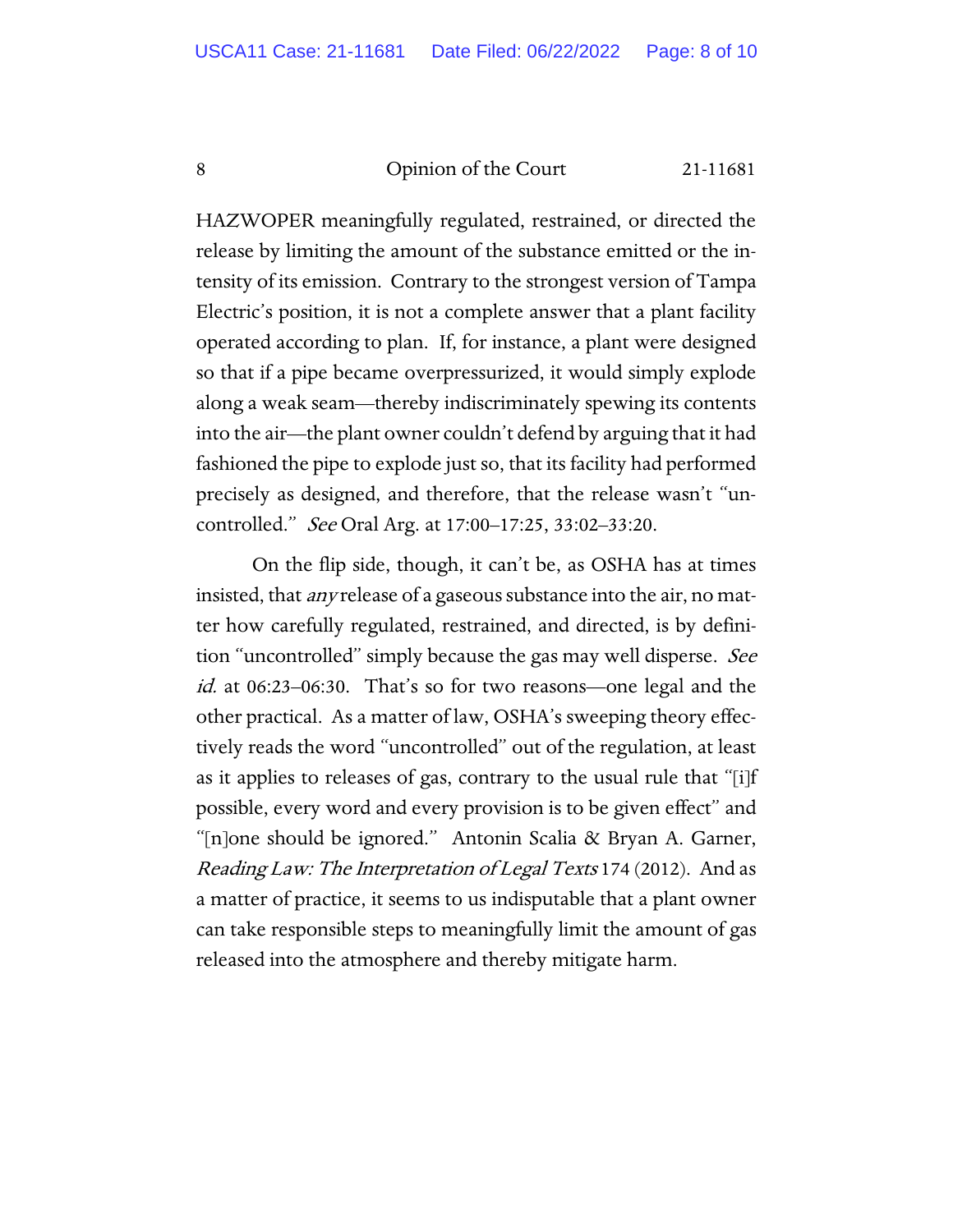HAZWOPER meaningfully regulated, restrained, or directed the release by limiting the amount of the substance emitted or the intensity of its emission. Contrary to the strongest version of Tampa Electric's position, it is not a complete answer that a plant facility operated according to plan. If, for instance, a plant were designed so that if a pipe became overpressurized, it would simply explode along a weak seam—thereby indiscriminately spewing its contents into the air—the plant owner couldn't defend by arguing that it had fashioned the pipe to explode just so, that its facility had performed precisely as designed, and therefore, that the release wasn't "uncontrolled." See Oral Arg. at 17:00–17:25, 33:02–33:20.

On the flip side, though, it can't be, as OSHA has at times insisted, that any release of a gaseous substance into the air, no matter how carefully regulated, restrained, and directed, is by definition "uncontrolled" simply because the gas may well disperse. See id. at 06:23–06:30. That's so for two reasons—one legal and the other practical. As a matter of law, OSHA's sweeping theory effectively reads the word "uncontrolled" out of the regulation, at least as it applies to releases of gas, contrary to the usual rule that "[i]f possible, every word and every provision is to be given effect" and "[n]one should be ignored." Antonin Scalia & Bryan A. Garner, Reading Law: The Interpretation of Legal Texts 174 (2012). And as a matter of practice, it seems to us indisputable that a plant owner can take responsible steps to meaningfully limit the amount of gas released into the atmosphere and thereby mitigate harm.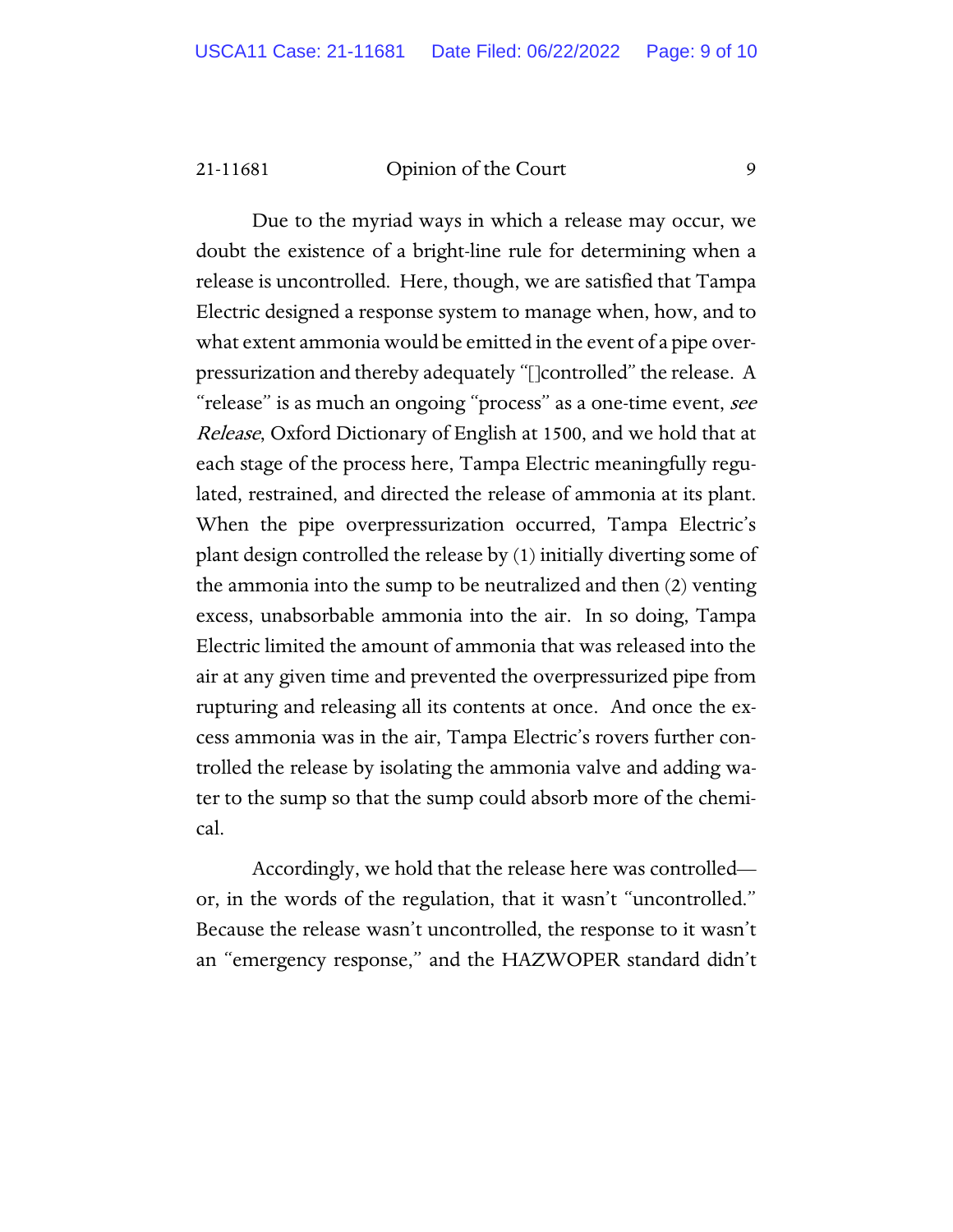Due to the myriad ways in which a release may occur, we doubt the existence of a bright-line rule for determining when a release is uncontrolled. Here, though, we are satisfied that Tampa Electric designed a response system to manage when, how, and to what extent ammonia would be emitted in the event of a pipe overpressurization and thereby adequately "[]controlled" the release. A "release" is as much an ongoing "process" as a one-time event, see Release, Oxford Dictionary of English at 1500, and we hold that at each stage of the process here, Tampa Electric meaningfully regulated, restrained, and directed the release of ammonia at its plant. When the pipe overpressurization occurred, Tampa Electric's plant design controlled the release by (1) initially diverting some of the ammonia into the sump to be neutralized and then (2) venting excess, unabsorbable ammonia into the air. In so doing, Tampa Electric limited the amount of ammonia that was released into the air at any given time and prevented the overpressurized pipe from rupturing and releasing all its contents at once. And once the excess ammonia was in the air, Tampa Electric's rovers further controlled the release by isolating the ammonia valve and adding water to the sump so that the sump could absorb more of the chemical.

Accordingly, we hold that the release here was controlled or, in the words of the regulation, that it wasn't "uncontrolled." Because the release wasn't uncontrolled, the response to it wasn't an "emergency response," and the HAZWOPER standard didn't